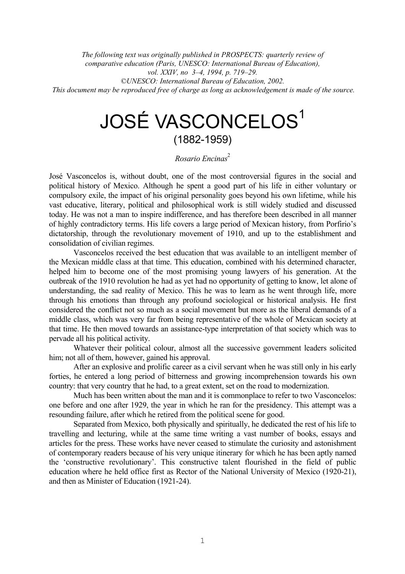*The following text was originally published in PROSPECTS: quarterly review of comparative education (Paris, UNESCO: International Bureau of Education), vol. XXIV, no 3–4, 1994, p. 719–29. ©UNESCO: International Bureau of Education, 2002. This document may be reproduced free of charge as long as acknowledgement is made of the source.* 

# JOSÉ VASCONCELOS<sup>1</sup> (1882-1959)

*Rosario Encinas*<sup>2</sup>

José Vasconcelos is, without doubt, one of the most controversial figures in the social and political history of Mexico. Although he spent a good part of his life in either voluntary or compulsory exile, the impact of his original personality goes beyond his own lifetime, while his vast educative, literary, political and philosophical work is still widely studied and discussed today. He was not a man to inspire indifference, and has therefore been described in all manner of highly contradictory terms. His life covers a large period of Mexican history, from Porfirio's dictatorship, through the revolutionary movement of 1910, and up to the establishment and consolidation of civilian regimes.

 Vasconcelos received the best education that was available to an intelligent member of the Mexican middle class at that time. This education, combined with his determined character, helped him to become one of the most promising young lawyers of his generation. At the outbreak of the 1910 revolution he had as yet had no opportunity of getting to know, let alone of understanding, the sad reality of Mexico. This he was to learn as he went through life, more through his emotions than through any profound sociological or historical analysis. He first considered the conflict not so much as a social movement but more as the liberal demands of a middle class, which was very far from being representative of the whole of Mexican society at that time. He then moved towards an assistance-type interpretation of that society which was to pervade all his political activity.

 Whatever their political colour, almost all the successive government leaders solicited him; not all of them, however, gained his approval.

 After an explosive and prolific career as a civil servant when he was still only in his early forties, he entered a long period of bitterness and growing incomprehension towards his own country: that very country that he had, to a great extent, set on the road to modernization.

 Much has been written about the man and it is commonplace to refer to two Vasconcelos: one before and one after 1929, the year in which he ran for the presidency. This attempt was a resounding failure, after which he retired from the political scene for good.

 Separated from Mexico, both physically and spiritually, he dedicated the rest of his life to travelling and lecturing, while at the same time writing a vast number of books, essays and articles for the press. These works have never ceased to stimulate the curiosity and astonishment of contemporary readers because of his very unique itinerary for which he has been aptly named the 'constructive revolutionary'. This constructive talent flourished in the field of public education where he held office first as Rector of the National University of Mexico (1920-21), and then as Minister of Education (1921-24).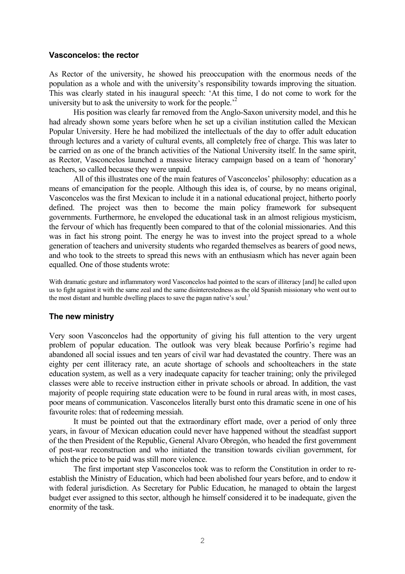## **Vasconcelos: the rector**

As Rector of the university, he showed his preoccupation with the enormous needs of the population as a whole and with the university's responsibility towards improving the situation. This was clearly stated in his inaugural speech: 'At this time, I do not come to work for the university but to ask the university to work for the people.<sup> $2$ </sup>

 His position was clearly far removed from the Anglo-Saxon university model, and this he had already shown some years before when he set up a civilian institution called the Mexican Popular University. Here he had mobilized the intellectuals of the day to offer adult education through lectures and a variety of cultural events, all completely free of charge. This was later to be carried on as one of the branch activities of the National University itself. In the same spirit, as Rector, Vasconcelos launched a massive literacy campaign based on a team of 'honorary' teachers, so called because they were unpaid.

 All of this illustrates one of the main features of Vasconcelos' philosophy: education as a means of emancipation for the people. Although this idea is, of course, by no means original, Vasconcelos was the first Mexican to include it in a national educational project, hitherto poorly defined. The project was then to become the main policy framework for subsequent governments. Furthermore, he enveloped the educational task in an almost religious mysticism, the fervour of which has frequently been compared to that of the colonial missionaries. And this was in fact his strong point. The energy he was to invest into the project spread to a whole generation of teachers and university students who regarded themselves as bearers of good news, and who took to the streets to spread this news with an enthusiasm which has never again been equalled. One of those students wrote:

With dramatic gesture and inflammatory word Vasconcelos had pointed to the scars of illiteracy [and] he called upon us to fight against it with the same zeal and the same disinterestedness as the old Spanish missionary who went out to the most distant and humble dwelling places to save the pagan native's soul.<sup>3</sup>

## **The new ministry**

Very soon Vasconcelos had the opportunity of giving his full attention to the very urgent problem of popular education. The outlook was very bleak because Porfirio's regime had abandoned all social issues and ten years of civil war had devastated the country. There was an eighty per cent illiteracy rate, an acute shortage of schools and schoolteachers in the state education system, as well as a very inadequate capacity for teacher training; only the privileged classes were able to receive instruction either in private schools or abroad. In addition, the vast majority of people requiring state education were to be found in rural areas with, in most cases, poor means of communication. Vasconcelos literally burst onto this dramatic scene in one of his favourite roles: that of redeeming messiah.

 It must be pointed out that the extraordinary effort made, over a period of only three years, in favour of Mexican education could never have happened without the steadfast support of the then President of the Republic, General Alvaro Obregón, who headed the first government of post-war reconstruction and who initiated the transition towards civilian government, for which the price to be paid was still more violence.

 The first important step Vasconcelos took was to reform the Constitution in order to reestablish the Ministry of Education, which had been abolished four years before, and to endow it with federal jurisdiction. As Secretary for Public Education, he managed to obtain the largest budget ever assigned to this sector, although he himself considered it to be inadequate, given the enormity of the task.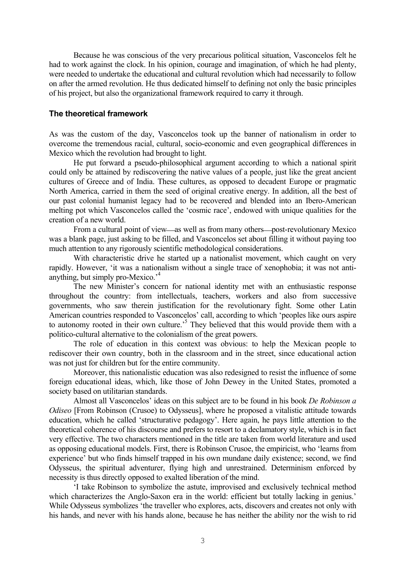Because he was conscious of the very precarious political situation, Vasconcelos felt he had to work against the clock. In his opinion, courage and imagination, of which he had plenty, were needed to undertake the educational and cultural revolution which had necessarily to follow on after the armed revolution. He thus dedicated himself to defining not only the basic principles of his project, but also the organizational framework required to carry it through.

## **The theoretical framework**

As was the custom of the day, Vasconcelos took up the banner of nationalism in order to overcome the tremendous racial, cultural, socio-economic and even geographical differences in Mexico which the revolution had brought to light.

 He put forward a pseudo-philosophical argument according to which a national spirit could only be attained by rediscovering the native values of a people, just like the great ancient cultures of Greece and of India. These cultures, as opposed to decadent Europe or pragmatic North America, carried in them the seed of original creative energy. In addition, all the best of our past colonial humanist legacy had to be recovered and blended into an Ibero-American melting pot which Vasconcelos called the 'cosmic race', endowed with unique qualities for the creation of a new world.

From a cultural point of view—as well as from many others—post-revolutionary Mexico was a blank page, just asking to be filled, and Vasconcelos set about filling it without paying too much attention to any rigorously scientific methodological considerations.

 With characteristic drive he started up a nationalist movement, which caught on very rapidly. However, 'it was a nationalism without a single trace of xenophobia; it was not antianything, but simply pro-Mexico.<sup>4</sup>

 The new Minister's concern for national identity met with an enthusiastic response throughout the country: from intellectuals, teachers, workers and also from successive governments, who saw therein justification for the revolutionary fight. Some other Latin American countries responded to Vasconcelos' call, according to which 'peoples like ours aspire to autonomy rooted in their own culture.<sup>5</sup> They believed that this would provide them with a politico-cultural alternative to the colonialism of the great powers.

 The role of education in this context was obvious: to help the Mexican people to rediscover their own country, both in the classroom and in the street, since educational action was not just for children but for the entire community.

 Moreover, this nationalistic education was also redesigned to resist the influence of some foreign educational ideas, which, like those of John Dewey in the United States, promoted a society based on utilitarian standards.

 Almost all Vasconcelos' ideas on this subject are to be found in his book *De Robinson a Odiseo* [From Robinson (Crusoe) to Odysseus], where he proposed a vitalistic attitude towards education, which he called 'structurative pedagogy'. Here again, he pays little attention to the theoretical coherence of his discourse and prefers to resort to a declamatory style, which is in fact very effective. The two characters mentioned in the title are taken from world literature and used as opposing educational models. First, there is Robinson Crusoe, the empiricist, who 'learns from experience' but who finds himself trapped in his own mundane daily existence; second, we find Odysseus, the spiritual adventurer, flying high and unrestrained. Determinism enforced by necessity is thus directly opposed to exalted liberation of the mind.

 'I take Robinson to symbolize the astute, improvised and exclusively technical method which characterizes the Anglo-Saxon era in the world: efficient but totally lacking in genius.' While Odysseus symbolizes 'the traveller who explores, acts, discovers and creates not only with his hands, and never with his hands alone, because he has neither the ability nor the wish to rid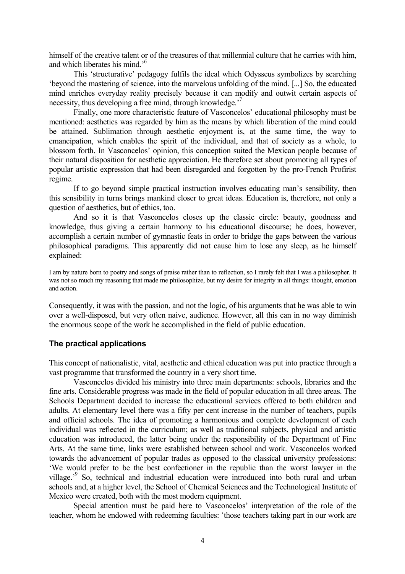himself of the creative talent or of the treasures of that millennial culture that he carries with him, and which liberates his mind.'6

 This 'structurative' pedagogy fulfils the ideal which Odysseus symbolizes by searching 'beyond the mastering of science, into the marvelous unfolding of the mind. [...] So, the educated mind enriches everyday reality precisely because it can modify and outwit certain aspects of necessity, thus developing a free mind, through knowledge.<sup>7</sup>

 Finally, one more characteristic feature of Vasconcelos' educational philosophy must be mentioned: aesthetics was regarded by him as the means by which liberation of the mind could be attained. Sublimation through aesthetic enjoyment is, at the same time, the way to emancipation, which enables the spirit of the individual, and that of society as a whole, to blossom forth. In Vasconcelos' opinion, this conception suited the Mexican people because of their natural disposition for aesthetic appreciation. He therefore set about promoting all types of popular artistic expression that had been disregarded and forgotten by the pro-French Profirist regime.

 If to go beyond simple practical instruction involves educating man's sensibility, then this sensibility in turns brings mankind closer to great ideas. Education is, therefore, not only a question of aesthetics, but of ethics, too.

 And so it is that Vasconcelos closes up the classic circle: beauty, goodness and knowledge, thus giving a certain harmony to his educational discourse; he does, however, accomplish a certain number of gymnastic feats in order to bridge the gaps between the various philosophical paradigms. This apparently did not cause him to lose any sleep, as he himself explained:

I am by nature born to poetry and songs of praise rather than to reflection, so I rarely felt that I was a philosopher. It was not so much my reasoning that made me philosophize, but my desire for integrity in all things: thought, emotion and action.

Consequently, it was with the passion, and not the logic, of his arguments that he was able to win over a well-disposed, but very often naive, audience. However, all this can in no way diminish the enormous scope of the work he accomplished in the field of public education.

# **The practical applications**

This concept of nationalistic, vital, aesthetic and ethical education was put into practice through a vast programme that transformed the country in a very short time.

 Vasconcelos divided his ministry into three main departments: schools, libraries and the fine arts. Considerable progress was made in the field of popular education in all three areas. The Schools Department decided to increase the educational services offered to both children and adults. At elementary level there was a fifty per cent increase in the number of teachers, pupils and official schools. The idea of promoting a harmonious and complete development of each individual was reflected in the curriculum; as well as traditional subjects, physical and artistic education was introduced, the latter being under the responsibility of the Department of Fine Arts. At the same time, links were established between school and work. Vasconcelos worked towards the advancement of popular trades as opposed to the classical university professions: 'We would prefer to be the best confectioner in the republic than the worst lawyer in the village.<sup>9</sup> So, technical and industrial education were introduced into both rural and urban schools and, at a higher level, the School of Chemical Sciences and the Technological Institute of Mexico were created, both with the most modern equipment.

 Special attention must be paid here to Vasconcelos' interpretation of the role of the teacher, whom he endowed with redeeming faculties: 'those teachers taking part in our work are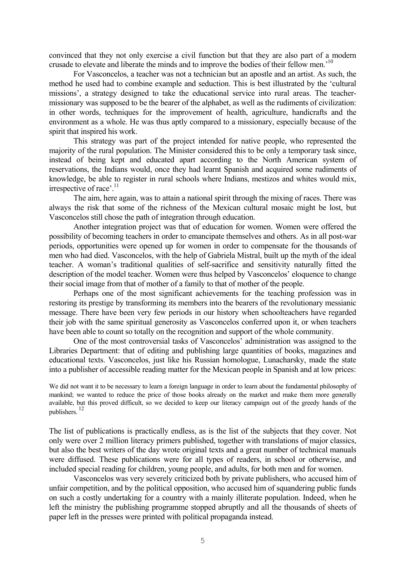convinced that they not only exercise a civil function but that they are also part of a modern crusade to elevate and liberate the minds and to improve the bodies of their fellow men.'10

 For Vasconcelos, a teacher was not a technician but an apostle and an artist. As such, the method he used had to combine example and seduction. This is best illustrated by the 'cultural missions', a strategy designed to take the educational service into rural areas. The teachermissionary was supposed to be the bearer of the alphabet, as well as the rudiments of civilization: in other words, techniques for the improvement of health, agriculture, handicrafts and the environment as a whole. He was thus aptly compared to a missionary, especially because of the spirit that inspired his work.

 This strategy was part of the project intended for native people, who represented the majority of the rural population. The Minister considered this to be only a temporary task since, instead of being kept and educated apart according to the North American system of reservations, the Indians would, once they had learnt Spanish and acquired some rudiments of knowledge, be able to register in rural schools where Indians, mestizos and whites would mix, irrespective of race'.<sup>11</sup>

 The aim, here again, was to attain a national spirit through the mixing of races. There was always the risk that some of the richness of the Mexican cultural mosaic might be lost, but Vasconcelos still chose the path of integration through education.

 Another integration project was that of education for women. Women were offered the possibility of becoming teachers in order to emancipate themselves and others. As in all post-war periods, opportunities were opened up for women in order to compensate for the thousands of men who had died. Vasconcelos, with the help of Gabriela Mistral, built up the myth of the ideal teacher. A woman's traditional qualities of self-sacrifice and sensitivity naturally fitted the description of the model teacher. Women were thus helped by Vasconcelos' eloquence to change their social image from that of mother of a family to that of mother of the people.

 Perhaps one of the most significant achievements for the teaching profession was in restoring its prestige by transforming its members into the bearers of the revolutionary messianic message. There have been very few periods in our history when schoolteachers have regarded their job with the same spiritual generosity as Vasconcelos conferred upon it, or when teachers have been able to count so totally on the recognition and support of the whole community.

 One of the most controversial tasks of Vasconcelos' administration was assigned to the Libraries Department: that of editing and publishing large quantities of books, magazines and educational texts. Vasconcelos, just like his Russian homologue, Lunacharsky, made the state into a publisher of accessible reading matter for the Mexican people in Spanish and at low prices:

We did not want it to be necessary to learn a foreign language in order to learn about the fundamental philosophy of mankind; we wanted to reduce the price of those books already on the market and make them more generally available, but this proved difficult, so we decided to keep our literacy campaign out of the greedy hands of the publishers.<sup>12</sup>

The list of publications is practically endless, as is the list of the subjects that they cover. Not only were over 2 million literacy primers published, together with translations of major classics, but also the best writers of the day wrote original texts and a great number of technical manuals were diffused. These publications were for all types of readers, in school or otherwise, and included special reading for children, young people, and adults, for both men and for women.

 Vasconcelos was very severely criticized both by private publishers, who accused him of unfair competition, and by the political opposition, who accused him of squandering public funds on such a costly undertaking for a country with a mainly illiterate population. Indeed, when he left the ministry the publishing programme stopped abruptly and all the thousands of sheets of paper left in the presses were printed with political propaganda instead.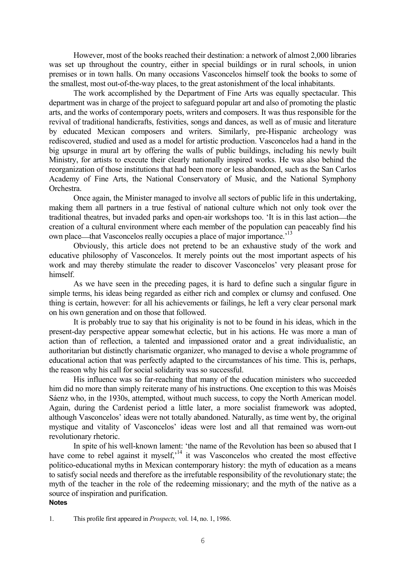However, most of the books reached their destination: a network of almost 2,000 libraries was set up throughout the country, either in special buildings or in rural schools, in union premises or in town halls. On many occasions Vasconcelos himself took the books to some of the smallest, most out-of-the-way places, to the great astonishment of the local inhabitants.

 The work accomplished by the Department of Fine Arts was equally spectacular. This department was in charge of the project to safeguard popular art and also of promoting the plastic arts, and the works of contemporary poets, writers and composers. It was thus responsible for the revival of traditional handicrafts, festivities, songs and dances, as well as of music and literature by educated Mexican composers and writers. Similarly, pre-Hispanic archeology was rediscovered, studied and used as a model for artistic production. Vasconcelos had a hand in the big upsurge in mural art by offering the walls of public buildings, including his newly built Ministry, for artists to execute their clearly nationally inspired works. He was also behind the reorganization of those institutions that had been more or less abandoned, such as the San Carlos Academy of Fine Arts, the National Conservatory of Music, and the National Symphony Orchestra.

 Once again, the Minister managed to involve all sectors of public life in this undertaking, making them all partners in a true festival of national culture which not only took over the traditional theatres, but invaded parks and open-air workshops too. 'It is in this last action—the creation of a cultural environment where each member of the population can peaceably find his own place—that Vasconcelos really occupies a place of major importance.<sup>'13</sup>

 Obviously, this article does not pretend to be an exhaustive study of the work and educative philosophy of Vasconcelos. It merely points out the most important aspects of his work and may thereby stimulate the reader to discover Vasconcelos' very pleasant prose for himself.

 As we have seen in the preceding pages, it is hard to define such a singular figure in simple terms, his ideas being regarded as either rich and complex or clumsy and confused. One thing is certain, however: for all his achievements or failings, he left a very clear personal mark on his own generation and on those that followed.

 It is probably true to say that his originality is not to be found in his ideas, which in the present-day perspective appear somewhat eclectic, but in his actions. He was more a man of action than of reflection, a talented and impassioned orator and a great individualistic, an authoritarian but distinctly charismatic organizer, who managed to devise a whole programme of educational action that was perfectly adapted to the circumstances of his time. This is, perhaps, the reason why his call for social solidarity was so successful.

 His influence was so far-reaching that many of the education ministers who succeeded him did no more than simply reiterate many of his instructions. One exception to this was Moisés Sáenz who, in the 1930s, attempted, without much success, to copy the North American model. Again, during the Cardenist period a little later, a more socialist framework was adopted, although Vasconcelos' ideas were not totally abandoned. Naturally, as time went by, the original mystique and vitality of Vasconcelos' ideas were lost and all that remained was worn-out revolutionary rhetoric.

 In spite of his well-known lament: 'the name of the Revolution has been so abused that I have come to rebel against it myself,<sup>14</sup> it was Vasconcelos who created the most effective politico-educational myths in Mexican contemporary history: the myth of education as a means to satisfy social needs and therefore as the irrefutable responsibility of the revolutionary state; the myth of the teacher in the role of the redeeming missionary; and the myth of the native as a source of inspiration and purification. **Notes** 

1. This profile first appeared in *Prospects,* vol. 14, no. 1, 1986.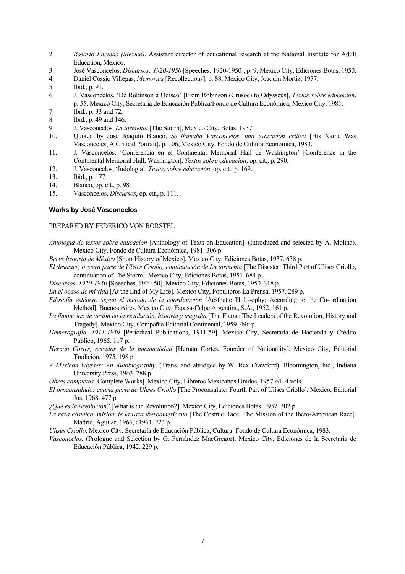- 2. *Rosario Encinas (Mexico)*. Assistant director of educational research at the National Institute for Adult Education, Mexico.
- 3. José Vasconcelos, *Discursos: 1920-1950* [Speeches: 1920-1950], p. 9, Mexico City, Ediciones Botas, 1950.
- 4. Daniel Cossío Villegas, *Memorias* [Recollections], p. 88, Mexico City, Joaquín Mortiz, 1977.
- 5. Ibid., p. 91.
- 6. J. Vasconcelos, 'De Robinson a Odiseo' [From Robinson (Crusoe) to Odysseus], *Textos sobre educación*, p. 55, Mexico City, Secretaria de Educación Pública/Fondo de Cultura Económica, Mexico City, 1981.
- 7. Ibid., p. 33 and 72.
- 8. Ibid., p. 49 and 146.
- 9. J. Vasconcelos, *La tormenta* [The Storm], Mexico City, Botas, 1937.
- 10. Quoted by José Joaquín Blanco, *Se llamaba Vasconcelos, una evocación crítica* [His Name Was Vasconceles, A Critical Portrait], p. 106, Mexico City, Fondo de Cultura Económica, 1983.
- 11. J. Vasconcelos, 'Conferencia en el Continental Memorial Hall de Washington' [Conference in the Continental Memorial Hall, Washington], *Textos sobre educación*, op. cit., p. 290.
- 12. J. Vasconcelos, 'Indologia', *Textos sobre educación*, op. cit., p. 169.
- 13. Ibid., p. 177.
- 14. Blanco, op. cit., p. 98.
- 15. Vasconcelos, *Discursos*, op. cit., p. 111.

## **Works by José Vasconcelos**

#### PREPARED BY FEDERICO VON BORSTEL

- *Antología de textos sobre educación* [Anthology of Texts on Education]. (Introduced and selected by A. Molina). Mexico City, Fondo de Cultura Económica, 1981. 306 p.
- *Breve historia de México* [Short History of Mexico]. Mexico City, Ediciones Botas, 1937. 638 p.
- *El desastre, tercera parte de Ulises Criollo, continuación de La tormenta* [The Disaster: Third Part of Ulises Criollo, continuation of The Storm]. Mexico City, Ediciones Botas, 1951. 684 p.
- *Discursos, 1920-1950* [Speeches, 1920-50]. Mexico City, Ediciones Botas, 1950. 318 p.
- *En el ocaso de mi vida* [At the End of My Life]. Mexico City, Populibros La Prensa, 1957. 289 p.
- *Filosofía estética: según el método de la coordinación* [Aesthetic Philosophy: According to the Co-ordination Method]. Buenos Aires, Mexico City, Espasa-Calpe Argentina, S.A., 1952. 161 p.
- *La flama: los de arriba en la revolución, historia y tragedia* [The Flame: The Leaders of the Revolution, History and Tragedy]. Mexico City, Compañía Editorial Continental, 1959. 496 p.
- *Hemerografía, 1911-1959* [Periodical Publications, 1911-59]. Mexico City, Secretaría de Hacienda y Crédito Público, 1965. 117 p.
- *Hernán Cortés, creador de la nacionalidad* [Hernan Cortes, Founder of Nationality]. Mexico City, Editorial Tradición, 1975. 198 p.
- *A Mexican Ulysses: An Autobiography*. (Trans. and abridged by W. Rex Crawford). Bloomington, Ind., Indiana University Press, 1963. 288 p.
- *Obras completas* [Complete Works]. Mexico City, Libreros Mexicanos Unidos, 1957-61. 4 vols.
- *El proconsulado: cuarta parte de Ulises Criollo* [The Proconsulate: Fourth Part of Ulises Criollo]. Mexico, Editorial Jus, 1968. 477 p.
- *¿Qué es la revolución?* [What is the Revolution?]. Mexico City, Ediciones Botas, 1937. 302 p.
- *La raza cósmica, misión de la raza iberoamericana* [The Cosmic Race: The Mission of the Ibero-American Race]. Madrid, Aguilar, 1966, c1961. 223 p.
- *Ulises Criollo*. Mexico City, Secretaría de Educación Pública, Cultura: Fondo de Cultura Económica, 1983.
- *Vasconcelos.* (Prologue and Selection by G. Fernández MacGregor). Mexico City, Ediciones de la Secretaría de Educación Pública, 1942. 229 p.